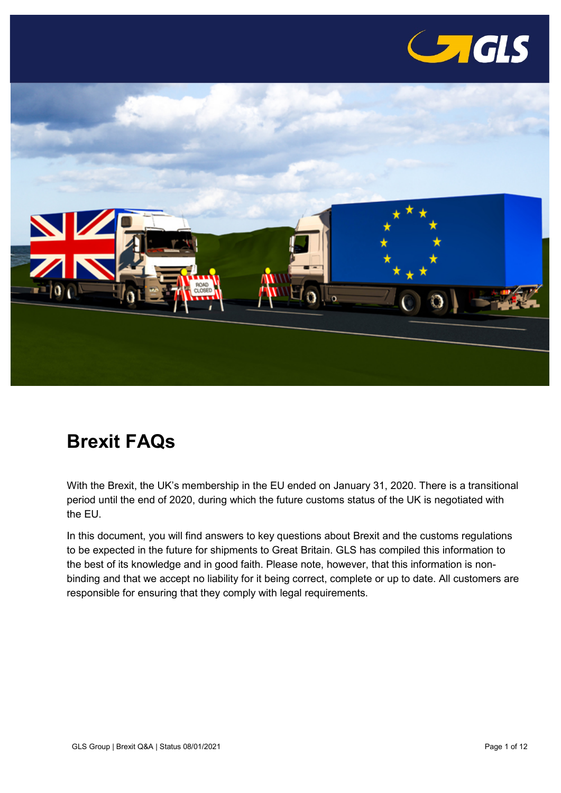

<span id="page-0-0"></span>

# **Brexit FAQs**

With the Brexit, the UK's membership in the EU ended on January 31, 2020. There is a transitional period until the end of 2020, during which the future customs status of the UK is negotiated with the EU.

In this document, you will find answers to key questions about Brexit and the customs regulations to be expected in the future for shipments to Great Britain. GLS has compiled this information to the best of its knowledge and in good faith. Please note, however, that this information is nonbinding and that we accept no liability for it being correct, complete or up to date. All customers are responsible for ensuring that they comply with legal requirements.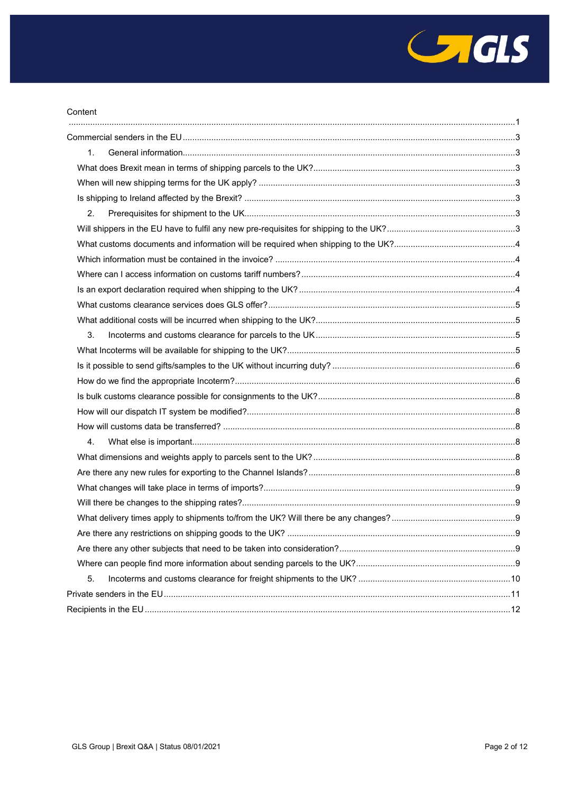

| 1. |  |
|----|--|
|    |  |
|    |  |
|    |  |
| 2. |  |
|    |  |
|    |  |
|    |  |
|    |  |
|    |  |
|    |  |
|    |  |
| 3. |  |
|    |  |
|    |  |
|    |  |
|    |  |
|    |  |
|    |  |
| 4. |  |
|    |  |
|    |  |
|    |  |
|    |  |
|    |  |
|    |  |
|    |  |
|    |  |
| 5. |  |
|    |  |
|    |  |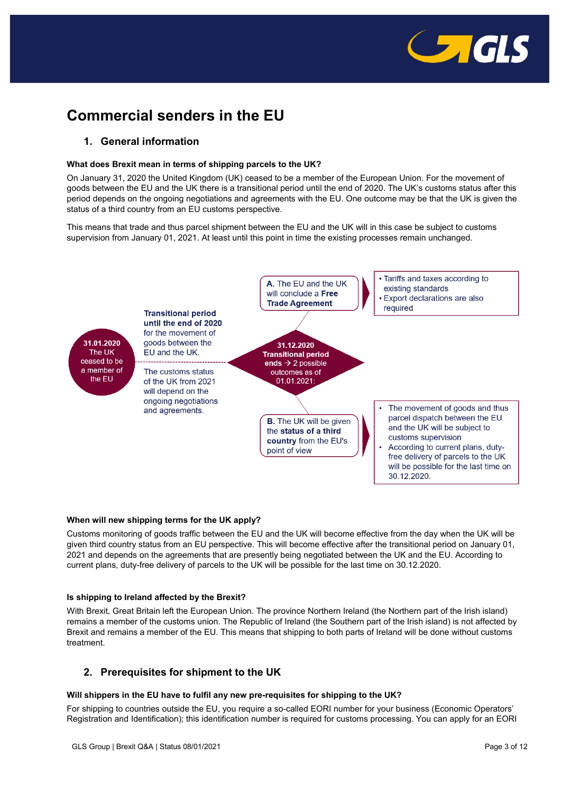

# <span id="page-2-0"></span>**Commercial senders in the EU**

# <span id="page-2-1"></span>**1. General information**

# <span id="page-2-2"></span>**What does Brexit mean in terms of shipping parcels to the UK?**

On January 31, 2020 the United Kingdom (UK) ceased to be a member of the European Union. For the movement of goods between the EU and the UK there is a transitional period until the end of 2020. The UK's customs status after this period depends on the ongoing negotiations and agreements with the EU. One outcome may be that the UK is given the status of a third country from an EU customs perspective.

This means that trade and thus parcel shipment between the EU and the UK will in this case be subject to customs supervision from January 01, 2021. At least until this point in time the existing processes remain unchanged.



# <span id="page-2-3"></span>**When will new shipping terms for the UK apply?**

Customs monitoring of goods traffic between the EU and the UK will become effective from the day when the UK will be given third country status from an EU perspective. This will become effective after the transitional period on January 01, 2021 and depends on the agreements that are presently being negotiated between the UK and the EU. According to current plans, duty-free delivery of parcels to the UK will be possible for the last time on 30.12.2020.

# <span id="page-2-4"></span>**Is shipping to Ireland affected by the Brexit?**

With Brexit, Great Britain left the European Union. The province Northern Ireland (the Northern part of the Irish island) remains a member of the customs union. The Republic of Ireland (the Southern part of the Irish island) is not affected by Brexit and remains a member of the EU. This means that shipping to both parts of Ireland will be done without customs treatment.

# <span id="page-2-5"></span>**2. Prerequisites for shipment to the UK**

# <span id="page-2-6"></span>**Will shippers in the EU have to fulfil any new pre-requisites for shipping to the UK?**

For shipping to countries outside the EU, you require a so-called EORI number for your business (Economic Operators' Registration and Identification); this identification number is required for customs processing. You can apply for an EORI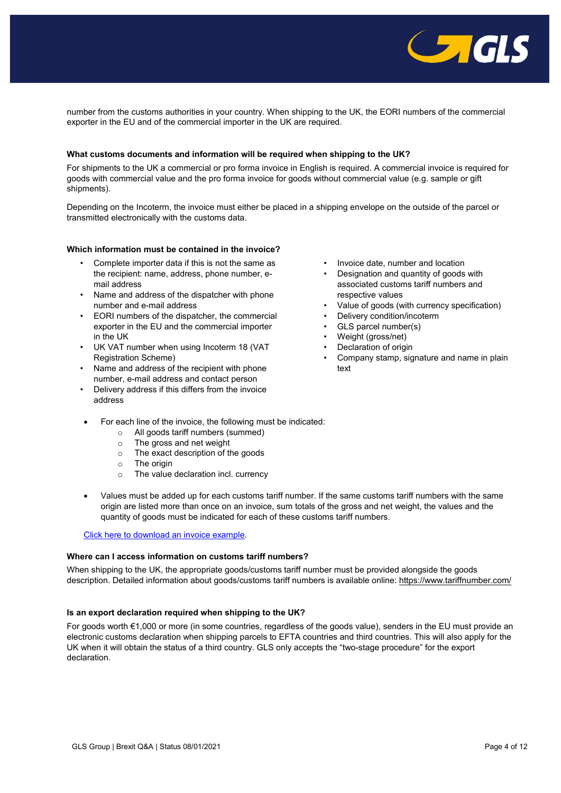

number from the customs authorities in your country. When shipping to the UK, the EORI numbers of the commercial exporter in the EU and of the commercial importer in the UK are required.

# <span id="page-3-0"></span>**What customs documents and information will be required when shipping to the UK?**

For shipments to the UK a commercial or pro forma invoice in English is required. A commercial invoice is required for goods with commercial value and the pro forma invoice for goods without commercial value (e.g. sample or gift shipments).

Depending on the Incoterm, the invoice must either be placed in a shipping envelope on the outside of the parcel or transmitted electronically with the customs data.

#### <span id="page-3-1"></span>**Which information must be contained in the invoice?**

- Complete importer data if this is not the same as the recipient: name, address, phone number, email address
- Name and address of the dispatcher with phone number and e-mail address
- EORI numbers of the dispatcher, the commercial exporter in the EU and the commercial importer in the UK
- UK VAT number when using Incoterm 18 (VAT Registration Scheme)
- Name and address of the recipient with phone number, e-mail address and contact person
- Delivery address if this differs from the invoice address
- Invoice date, number and location
- Designation and quantity of goods with associated customs tariff numbers and respective values
- Value of goods (with currency specification)
- Delivery condition/incoterm
- GLS parcel number(s)
- Weight (gross/net)
- Declaration of origin
- Company stamp, signature and name in plain text
- For each line of the invoice, the following must be indicated:
	- $\circ$  All goods tariff numbers (summed)<br>  $\circ$  The gross and net weight
	- The gross and net weight
	- o The exact description of the goods
	- o The origin
	- o The value declaration incl. currency
- Values must be added up for each customs tariff number. If the same customs tariff numbers with the same origin are listed more than once on an invoice, sum totals of the gross and net weight, the values and the quantity of goods must be indicated for each of these customs tariff numbers.

[Click here to download an invoice example.](https://gls-group.eu/BE/media/downloads/Example_Invoice___Statement_on_Origin_pdf.pdf)

## <span id="page-3-2"></span>**Where can I access information on customs tariff numbers?**

When shipping to the UK, the appropriate goods/customs tariff number must be provided alongside the goods description. Detailed information about goods/customs tariff numbers is available online[: https://www.tariffnumber.com/](https://www.tariffnumber.com/)

# <span id="page-3-3"></span>**Is an export declaration required when shipping to the UK?**

For goods worth €1,000 or more (in some countries, regardless of the goods value), senders in the EU must provide an electronic customs declaration when shipping parcels to EFTA countries and third countries. This will also apply for the UK when it will obtain the status of a third country. GLS only accepts the "two-stage procedure" for the export declaration.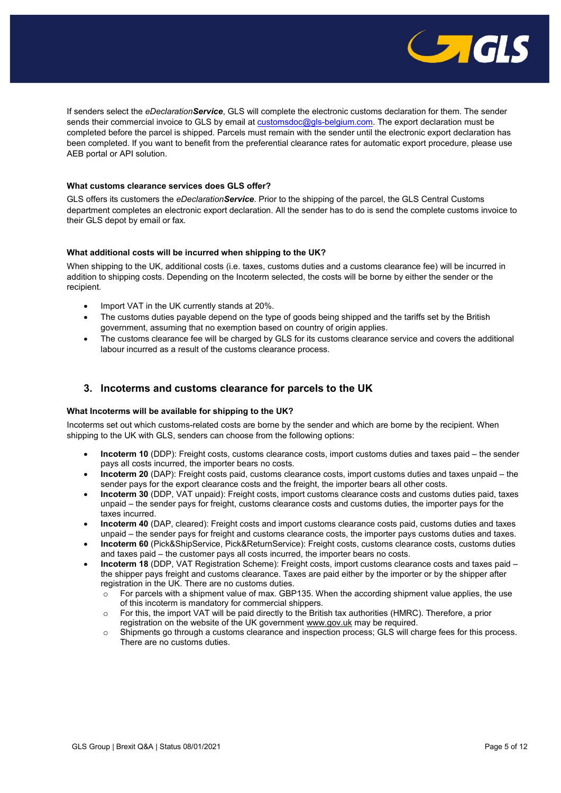

If senders select the *eDeclarationService*, GLS will complete the electronic customs declaration for them. The sender sends their commercial invoice to GLS by email at [customsdoc@gls-belgium.com.](mailto:customsdoc@gls-belgium.com) The export declaration must be completed before the parcel is shipped. Parcels must remain with the sender until the electronic export declaration has been completed. If you want to benefit from the preferential clearance rates for automatic export procedure, please use AEB portal or API solution.

# <span id="page-4-0"></span>**What customs clearance services does GLS offer?**

GLS offers its customers the *eDeclarationService*. Prior to the shipping of the parcel, the GLS Central Customs department completes an electronic export declaration. All the sender has to do is send the complete customs invoice to their GLS depot by email or fax.

#### <span id="page-4-1"></span>**What additional costs will be incurred when shipping to the UK?**

When shipping to the UK, additional costs (i.e. taxes, customs duties and a customs clearance fee) will be incurred in addition to shipping costs. Depending on the Incoterm selected, the costs will be borne by either the sender or the recipient.

- Import VAT in the UK currently stands at 20%.
- The customs duties payable depend on the type of goods being shipped and the tariffs set by the British government, assuming that no exemption based on country of origin applies.
- The customs clearance fee will be charged by GLS for its customs clearance service and covers the additional labour incurred as a result of the customs clearance process.

# <span id="page-4-2"></span>**3. Incoterms and customs clearance for parcels to the UK**

#### <span id="page-4-3"></span>**What Incoterms will be available for shipping to the UK?**

Incoterms set out which customs-related costs are borne by the sender and which are borne by the recipient. When shipping to the UK with GLS, senders can choose from the following options:

- **Incoterm 10** (DDP): Freight costs, customs clearance costs, import customs duties and taxes paid the sender pays all costs incurred, the importer bears no costs.
- **Incoterm 20** (DAP): Freight costs paid, customs clearance costs, import customs duties and taxes unpaid the sender pays for the export clearance costs and the freight, the importer bears all other costs.
- **Incoterm 30** (DDP, VAT unpaid): Freight costs, import customs clearance costs and customs duties paid, taxes unpaid – the sender pays for freight, customs clearance costs and customs duties, the importer pays for the taxes incurred.
- **Incoterm 40** (DAP, cleared): Freight costs and import customs clearance costs paid, customs duties and taxes unpaid – the sender pays for freight and customs clearance costs, the importer pays customs duties and taxes.
- **Incoterm 60** (Pick&ShipService, Pick&ReturnService): Freight costs, customs clearance costs, customs duties and taxes paid – the customer pays all costs incurred, the importer bears no costs.
- **Incoterm 18** (DDP, VAT Registration Scheme): Freight costs, import customs clearance costs and taxes paid the shipper pays freight and customs clearance. Taxes are paid either by the importer or by the shipper after registration in the UK. There are no customs duties.
	- $\circ$  For parcels with a shipment value of max. GBP135. When the according shipment value applies, the use of this incoterm is mandatory for commercial shippers.
	- o For this, the import VAT will be paid directly to the British tax authorities (HMRC). Therefore, a prior registration on the website of the UK government [www.gov.uk](http://www.gov.uk/) may be required.
	- o Shipments go through a customs clearance and inspection process; GLS will charge fees for this process. There are no customs duties.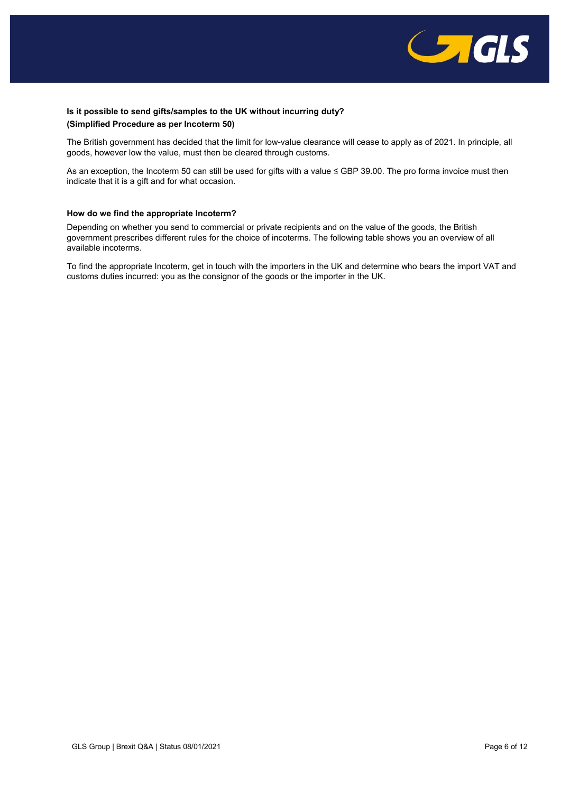

# <span id="page-5-0"></span>**Is it possible to send gifts/samples to the UK without incurring duty? (Simplified Procedure as per Incoterm 50)**

The British government has decided that the limit for low-value clearance will cease to apply as of 2021. In principle, all goods, however low the value, must then be cleared through customs.

As an exception, the Incoterm 50 can still be used for gifts with a value ≤ GBP 39.00. The pro forma invoice must then indicate that it is a gift and for what occasion.

# <span id="page-5-1"></span>**How do we find the appropriate Incoterm?**

Depending on whether you send to commercial or private recipients and on the value of the goods, the British government prescribes different rules for the choice of incoterms. The following table shows you an overview of all available incoterms.

To find the appropriate Incoterm, get in touch with the importers in the UK and determine who bears the import VAT and customs duties incurred: you as the consignor of the goods or the importer in the UK.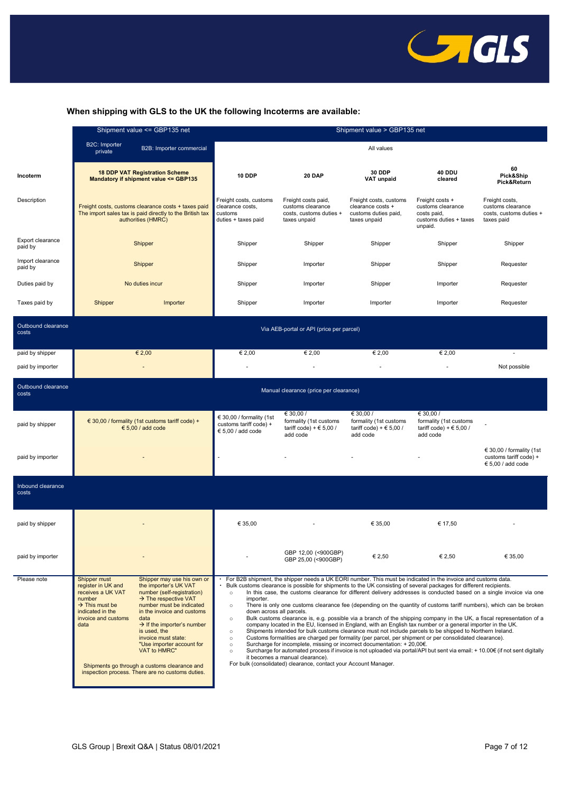

# **When shipping with GLS to the UK the following Incoterms are available:**

|                             | Shipment value <= GBP135 net                                                                                                                                                                                                                                                                                                                                                                                                                                                                                                                                                    | Shipment value > GBP135 net                                                                                                                                                                                                                                                                                                                                                                                                                                                                                                                                                                                                                                                                                                                                                                                                                                                                                                                                                                                                                                                                                                                                                                                                                                                                                                                                                               |                                                                                     |                                                                                     |                                                                                          |                                                                                  |
|-----------------------------|---------------------------------------------------------------------------------------------------------------------------------------------------------------------------------------------------------------------------------------------------------------------------------------------------------------------------------------------------------------------------------------------------------------------------------------------------------------------------------------------------------------------------------------------------------------------------------|-------------------------------------------------------------------------------------------------------------------------------------------------------------------------------------------------------------------------------------------------------------------------------------------------------------------------------------------------------------------------------------------------------------------------------------------------------------------------------------------------------------------------------------------------------------------------------------------------------------------------------------------------------------------------------------------------------------------------------------------------------------------------------------------------------------------------------------------------------------------------------------------------------------------------------------------------------------------------------------------------------------------------------------------------------------------------------------------------------------------------------------------------------------------------------------------------------------------------------------------------------------------------------------------------------------------------------------------------------------------------------------------|-------------------------------------------------------------------------------------|-------------------------------------------------------------------------------------|------------------------------------------------------------------------------------------|----------------------------------------------------------------------------------|
|                             | B2C: Importer<br>B2B: Importer commercial<br>private                                                                                                                                                                                                                                                                                                                                                                                                                                                                                                                            | All values                                                                                                                                                                                                                                                                                                                                                                                                                                                                                                                                                                                                                                                                                                                                                                                                                                                                                                                                                                                                                                                                                                                                                                                                                                                                                                                                                                                |                                                                                     |                                                                                     |                                                                                          |                                                                                  |
| Incoterm                    | <b>18 DDP VAT Registration Scheme</b><br>Mandatory if shipment value <= GBP135                                                                                                                                                                                                                                                                                                                                                                                                                                                                                                  | 10 DDP                                                                                                                                                                                                                                                                                                                                                                                                                                                                                                                                                                                                                                                                                                                                                                                                                                                                                                                                                                                                                                                                                                                                                                                                                                                                                                                                                                                    | 20 DAP                                                                              | 30 DDP<br><b>VAT unpaid</b>                                                         | 40 DDU<br>cleared                                                                        | 60<br>Pick&Ship<br>Pick&Return                                                   |
| Description                 | Freight costs, customs clearance costs + taxes paid<br>The import sales tax is paid directly to the British tax<br>authorities (HMRC)                                                                                                                                                                                                                                                                                                                                                                                                                                           | Freight costs, customs<br>clearance costs,<br>customs<br>duties + taxes paid                                                                                                                                                                                                                                                                                                                                                                                                                                                                                                                                                                                                                                                                                                                                                                                                                                                                                                                                                                                                                                                                                                                                                                                                                                                                                                              | Freight costs paid,<br>customs clearance<br>costs, customs duties +<br>taxes unpaid | Freight costs, customs<br>clearance costs +<br>customs duties paid,<br>taxes unpaid | Freight costs +<br>customs clearance<br>costs paid,<br>customs duties + taxes<br>unpaid. | Freight costs,<br>customs clearance<br>costs, customs duties +<br>taxes paid     |
| Export clearance<br>paid by | Shipper                                                                                                                                                                                                                                                                                                                                                                                                                                                                                                                                                                         | Shipper                                                                                                                                                                                                                                                                                                                                                                                                                                                                                                                                                                                                                                                                                                                                                                                                                                                                                                                                                                                                                                                                                                                                                                                                                                                                                                                                                                                   | Shipper                                                                             | Shipper                                                                             | Shipper                                                                                  | Shipper                                                                          |
| Import clearance<br>paid by | Shipper                                                                                                                                                                                                                                                                                                                                                                                                                                                                                                                                                                         | Shipper                                                                                                                                                                                                                                                                                                                                                                                                                                                                                                                                                                                                                                                                                                                                                                                                                                                                                                                                                                                                                                                                                                                                                                                                                                                                                                                                                                                   | Importer                                                                            | Shipper                                                                             | Shipper                                                                                  | Requester                                                                        |
| Duties paid by              | No duties incur                                                                                                                                                                                                                                                                                                                                                                                                                                                                                                                                                                 | Shipper                                                                                                                                                                                                                                                                                                                                                                                                                                                                                                                                                                                                                                                                                                                                                                                                                                                                                                                                                                                                                                                                                                                                                                                                                                                                                                                                                                                   | Importer                                                                            | Shipper                                                                             | Importer                                                                                 | Requester                                                                        |
| Taxes paid by               | Shipper<br>Importer                                                                                                                                                                                                                                                                                                                                                                                                                                                                                                                                                             | Shipper                                                                                                                                                                                                                                                                                                                                                                                                                                                                                                                                                                                                                                                                                                                                                                                                                                                                                                                                                                                                                                                                                                                                                                                                                                                                                                                                                                                   | Importer                                                                            | Importer                                                                            | Importer                                                                                 | Requester                                                                        |
| Outbound clearance<br>costs | Via AEB-portal or API (price per parcel)                                                                                                                                                                                                                                                                                                                                                                                                                                                                                                                                        |                                                                                                                                                                                                                                                                                                                                                                                                                                                                                                                                                                                                                                                                                                                                                                                                                                                                                                                                                                                                                                                                                                                                                                                                                                                                                                                                                                                           |                                                                                     |                                                                                     |                                                                                          |                                                                                  |
| paid by shipper             | € 2,00                                                                                                                                                                                                                                                                                                                                                                                                                                                                                                                                                                          | € 2,00                                                                                                                                                                                                                                                                                                                                                                                                                                                                                                                                                                                                                                                                                                                                                                                                                                                                                                                                                                                                                                                                                                                                                                                                                                                                                                                                                                                    | € 2,00                                                                              | € 2,00                                                                              | € 2,00                                                                                   | $\sim$                                                                           |
| paid by importer            |                                                                                                                                                                                                                                                                                                                                                                                                                                                                                                                                                                                 |                                                                                                                                                                                                                                                                                                                                                                                                                                                                                                                                                                                                                                                                                                                                                                                                                                                                                                                                                                                                                                                                                                                                                                                                                                                                                                                                                                                           |                                                                                     |                                                                                     |                                                                                          | Not possible                                                                     |
| Outbound clearance<br>costs |                                                                                                                                                                                                                                                                                                                                                                                                                                                                                                                                                                                 |                                                                                                                                                                                                                                                                                                                                                                                                                                                                                                                                                                                                                                                                                                                                                                                                                                                                                                                                                                                                                                                                                                                                                                                                                                                                                                                                                                                           | Manual clearance (price per clearance)                                              |                                                                                     |                                                                                          |                                                                                  |
| paid by shipper             | $\in$ 30,00 / formality (1st customs tariff code) +<br>$\epsilon$ 5,00 / add code                                                                                                                                                                                                                                                                                                                                                                                                                                                                                               | € 30,00 / formality (1st<br>customs tariff code) +<br>$\epsilon$ 5,00 / add code                                                                                                                                                                                                                                                                                                                                                                                                                                                                                                                                                                                                                                                                                                                                                                                                                                                                                                                                                                                                                                                                                                                                                                                                                                                                                                          | € 30,00 /<br>formality (1st customs<br>tariff code) + $\in$ 5,00 /<br>add code      | € 30,00 /<br>formality (1st customs<br>tariff code) + $\in$ 5,00 /<br>add code      | € 30,00 /<br>formality (1st customs<br>tariff code) + $\in$ 5,00 /<br>add code           |                                                                                  |
| paid by importer            |                                                                                                                                                                                                                                                                                                                                                                                                                                                                                                                                                                                 |                                                                                                                                                                                                                                                                                                                                                                                                                                                                                                                                                                                                                                                                                                                                                                                                                                                                                                                                                                                                                                                                                                                                                                                                                                                                                                                                                                                           |                                                                                     |                                                                                     |                                                                                          | € 30,00 / formality (1st<br>customs tariff code) +<br>$\epsilon$ 5,00 / add code |
| Inbound clearance<br>costs  |                                                                                                                                                                                                                                                                                                                                                                                                                                                                                                                                                                                 |                                                                                                                                                                                                                                                                                                                                                                                                                                                                                                                                                                                                                                                                                                                                                                                                                                                                                                                                                                                                                                                                                                                                                                                                                                                                                                                                                                                           |                                                                                     |                                                                                     |                                                                                          |                                                                                  |
| paid by shipper             |                                                                                                                                                                                                                                                                                                                                                                                                                                                                                                                                                                                 | € 35,00                                                                                                                                                                                                                                                                                                                                                                                                                                                                                                                                                                                                                                                                                                                                                                                                                                                                                                                                                                                                                                                                                                                                                                                                                                                                                                                                                                                   |                                                                                     | € 35,00                                                                             | € 17,50                                                                                  |                                                                                  |
| paid by importer            |                                                                                                                                                                                                                                                                                                                                                                                                                                                                                                                                                                                 |                                                                                                                                                                                                                                                                                                                                                                                                                                                                                                                                                                                                                                                                                                                                                                                                                                                                                                                                                                                                                                                                                                                                                                                                                                                                                                                                                                                           | GBP 12,00 (<900GBP)<br>GBP 25,00 (<900GBP)                                          | € 2,50                                                                              | € 2,50                                                                                   | € 35,00                                                                          |
| Please note                 | Shipper must<br>Shipper may use his own or<br>register in UK and<br>the importer's UK VAT<br>number (self-registration)<br>receives a UK VAT<br>number<br>$\rightarrow$ The respective VAT<br>$\rightarrow$ This must be<br>number must be indicated<br>indicated in the<br>in the invoice and customs<br>invoice and customs<br>data<br>$\rightarrow$ If the importer's number<br>data<br>is used, the<br>invoice must state:<br>"Use importer account for<br>VAT to HMRC"<br>Shipments go through a customs clearance and<br>inspection process. There are no customs duties. | For B2B shipment, the shipper needs a UK EORI number. This must be indicated in the invoice and customs data.<br>Bulk customs clearance is possible for shipments to the UK consisting of several packages for different recipients.<br>In this case, the customs clearance for different delivery addresses is conducted based on a single invoice via one<br>$\circ$<br>importer.<br>There is only one customs clearance fee (depending on the quantity of customs tariff numbers), which can be broken<br>$\circ$<br>down across all parcels.<br>Bulk customs clearance is, e.g. possible via a branch of the shipping company in the UK, a fiscal representation of a<br>$\circ$<br>company located in the EU, licensed in England, with an English tax number or a general importer in the UK.<br>Shipments intended for bulk customs clearance must not include parcels to be shipped to Northern Ireland.<br>$\circ$<br>Customs formalities are charged per formality (per parcel, per shipment or per consolidated clearance).<br>$\circ$<br>Surcharge for incomplete, missing or incorrect documentation: +20,00€.<br>$\circ$<br>Surcharge for automated process if invoice is not uploaded via portal/API but sent via email: + 10.00€ (if not sent digitally<br>$\circ$<br>it becomes a manual clearance).<br>For bulk (consolidated) clearance, contact your Account Manager. |                                                                                     |                                                                                     |                                                                                          |                                                                                  |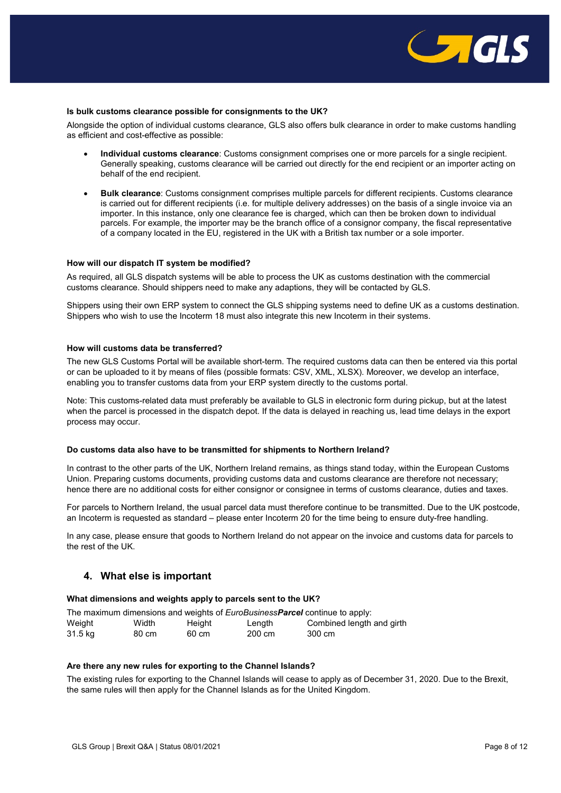

## <span id="page-7-0"></span>**Is bulk customs clearance possible for consignments to the UK?**

Alongside the option of individual customs clearance, GLS also offers bulk clearance in order to make customs handling as efficient and cost-effective as possible:

- **Individual customs clearance**: Customs consignment comprises one or more parcels for a single recipient. Generally speaking, customs clearance will be carried out directly for the end recipient or an importer acting on behalf of the end recipient.
- **Bulk clearance**: Customs consignment comprises multiple parcels for different recipients. Customs clearance is carried out for different recipients (i.e. for multiple delivery addresses) on the basis of a single invoice via an importer. In this instance, only one clearance fee is charged, which can then be broken down to individual parcels. For example, the importer may be the branch office of a consignor company, the fiscal representative of a company located in the EU, registered in the UK with a British tax number or a sole importer.

#### <span id="page-7-1"></span>**How will our dispatch IT system be modified?**

As required, all GLS dispatch systems will be able to process the UK as customs destination with the commercial customs clearance. Should shippers need to make any adaptions, they will be contacted by GLS.

Shippers using their own ERP system to connect the GLS shipping systems need to define UK as a customs destination. Shippers who wish to use the Incoterm 18 must also integrate this new Incoterm in their systems.

# <span id="page-7-2"></span>**How will customs data be transferred?**

The new GLS Customs Portal will be available short-term. The required customs data can then be entered via this portal or can be uploaded to it by means of files (possible formats: CSV, XML, XLSX). Moreover, we develop an interface, enabling you to transfer customs data from your ERP system directly to the customs portal.

Note: This customs-related data must preferably be available to GLS in electronic form during pickup, but at the latest when the parcel is processed in the dispatch depot. If the data is delayed in reaching us, lead time delays in the export process may occur.

#### **Do customs data also have to be transmitted for shipments to Northern Ireland?**

In contrast to the other parts of the UK, Northern Ireland remains, as things stand today, within the European Customs Union. Preparing customs documents, providing customs data and customs clearance are therefore not necessary; hence there are no additional costs for either consignor or consignee in terms of customs clearance, duties and taxes.

For parcels to Northern Ireland, the usual parcel data must therefore continue to be transmitted. Due to the UK postcode, an Incoterm is requested as standard – please enter Incoterm 20 for the time being to ensure duty-free handling.

In any case, please ensure that goods to Northern Ireland do not appear on the invoice and customs data for parcels to the rest of the UK.

# <span id="page-7-3"></span>**4. What else is important**

#### <span id="page-7-4"></span>**What dimensions and weights apply to parcels sent to the UK?**

|         |       |        |        | The maximum dimensions and weights of <i>EuroBusinessParcel</i> continue to apply: |
|---------|-------|--------|--------|------------------------------------------------------------------------------------|
| Weight  | Width | Height | Length | Combined length and girth                                                          |
| 31.5 kg | 80 cm | 60 cm  | 200 cm | 300 cm                                                                             |

# <span id="page-7-5"></span>**Are there any new rules for exporting to the Channel Islands?**

The existing rules for exporting to the Channel Islands will cease to apply as of December 31, 2020. Due to the Brexit, the same rules will then apply for the Channel Islands as for the United Kingdom.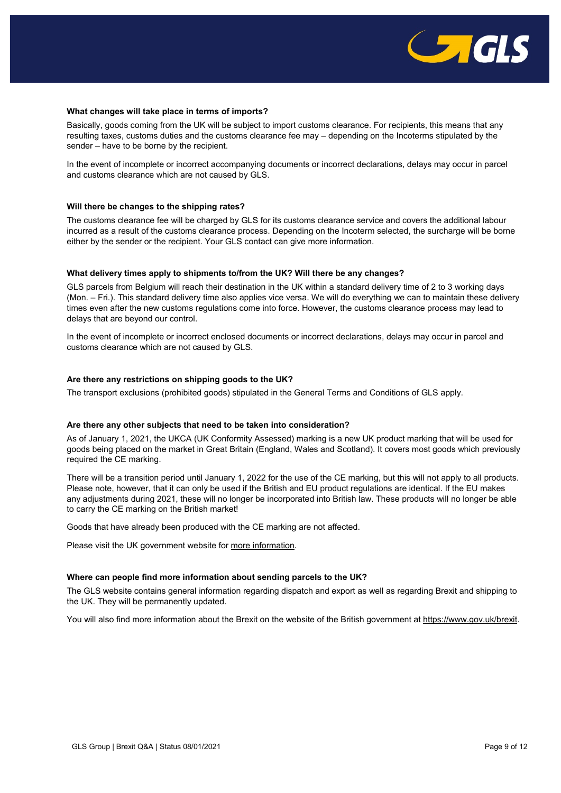

## <span id="page-8-0"></span>**What changes will take place in terms of imports?**

Basically, goods coming from the UK will be subject to import customs clearance. For recipients, this means that any resulting taxes, customs duties and the customs clearance fee may – depending on the Incoterms stipulated by the sender – have to be borne by the recipient.

In the event of incomplete or incorrect accompanying documents or incorrect declarations, delays may occur in parcel and customs clearance which are not caused by GLS.

#### <span id="page-8-1"></span>**Will there be changes to the shipping rates?**

The customs clearance fee will be charged by GLS for its customs clearance service and covers the additional labour incurred as a result of the customs clearance process. Depending on the Incoterm selected, the surcharge will be borne either by the sender or the recipient. Your GLS contact can give more information.

#### <span id="page-8-2"></span>**What delivery times apply to shipments to/from the UK? Will there be any changes?**

GLS parcels from Belgium will reach their destination in the UK within a standard delivery time of 2 to 3 working days (Mon. – Fri.). This standard delivery time also applies vice versa. We will do everything we can to maintain these delivery times even after the new customs regulations come into force. However, the customs clearance process may lead to delays that are beyond our control.

In the event of incomplete or incorrect enclosed documents or incorrect declarations, delays may occur in parcel and customs clearance which are not caused by GLS.

## <span id="page-8-3"></span>**Are there any restrictions on shipping goods to the UK?**

The transport exclusions (prohibited goods) stipulated in the [General Terms and Conditions](https://gls-group.com/DE/en/gtc-standard) of GLS apply.

#### <span id="page-8-4"></span>**Are there any other subjects that need to be taken into consideration?**

As of January 1, 2021, the UKCA (UK Conformity Assessed) marking is a new UK product marking that will be used for goods being placed on the market in Great Britain (England, Wales and Scotland). It covers most goods which previously required the CE marking.

There will be a transition period until January 1, 2022 for the use of the CE marking, but this will not apply to all products. Please note, however, that it can only be used if the British and EU product regulations are identical. If the EU makes any adjustments during 2021, these will no longer be incorporated into British law. These products will no longer be able to carry the CE marking on the British market!

Goods that have already been produced with the CE marking are not affected.

Please visit the UK government website for [more information.](https://www.gov.uk/guidance/using-the-ukca-mark-from-1-january-2021)

#### <span id="page-8-5"></span>**Where can people find more information about sending parcels to the UK?**

The GLS website contains general information regarding dispatch and export as well as regarding Brexit and shipping to the UK. They will be permanently updated.

You will also find more information about the Brexit on the website of the British government at [https://www.gov.uk/brexit.](https://www.gov.uk/brexit)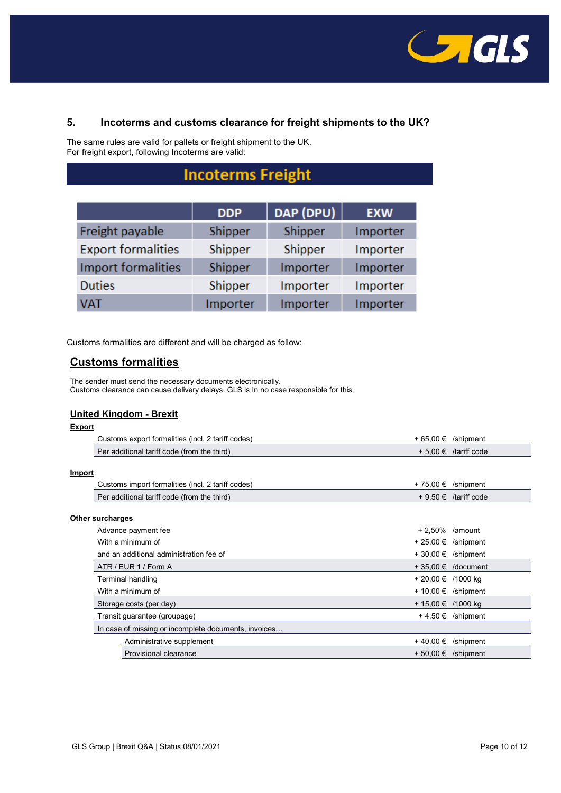

# <span id="page-9-0"></span>**5. Incoterms and customs clearance for freight shipments to the UK?**

The same rules are valid for pallets or freight shipment to the UK. For freight export, following Incoterms are valid:

# **Incoterms Freight**

|                           | <b>DDP</b> | DAP (DPU) | <b>EXW</b> |
|---------------------------|------------|-----------|------------|
| Freight payable           | Shipper    | Shipper   | Importer   |
| <b>Export formalities</b> | Shipper    | Shipper   | Importer   |
| Import formalities        | Shipper    | Importer  | Importer   |
| <b>Duties</b>             | Shipper    | Importer  | Importer   |
| <b>VAT</b>                | Importer   | Importer  | Importer   |

Customs formalities are different and will be charged as follow:

# **Customs formalities**

The sender must send the necessary documents electronically. Customs clearance can cause delivery delays. GLS is In no case responsible for this.

# **United Kingdom - Brexit**

| Export |                                                      |                        |                          |
|--------|------------------------------------------------------|------------------------|--------------------------|
|        | Customs export formalities (incl. 2 tariff codes)    |                        | $+65,00 \in$ /shipment   |
|        | Per additional tariff code (from the third)          |                        | $+5.00 \in$ /tariff code |
|        |                                                      |                        |                          |
| Import |                                                      |                        |                          |
|        | Customs import formalities (incl. 2 tariff codes)    |                        | + 75,00 € /shipment      |
|        | Per additional tariff code (from the third)          |                        | $+9.50 \in$ /tariff code |
|        |                                                      |                        |                          |
|        | Other surcharges                                     |                        |                          |
|        | Advance payment fee                                  | $+2.50\%$ /amount      |                          |
|        | With a minimum of                                    | $+25,00 \in$ /shipment |                          |
|        | and an additional administration fee of              |                        | $+30,00 \in$ /shipment   |
|        | ATR / EUR 1 / Form A                                 |                        | $+35.00 \in$ /document   |
|        | <b>Terminal handling</b>                             | + 20,00 € /1000 kg     |                          |
|        | With a minimum of                                    | + 10,00 € /shipment    |                          |
|        | Storage costs (per day)                              | + 15,00 € /1000 kg     |                          |
|        | Transit guarantee (groupage)                         |                        | $+4,50 \in$ /shipment    |
|        | In case of missing or incomplete documents, invoices |                        |                          |
|        | Administrative supplement                            | + 40,00 €              | /shipment                |
|        | <b>Provisional clearance</b>                         |                        | $+50,00 \in$ /shipment   |
|        |                                                      |                        |                          |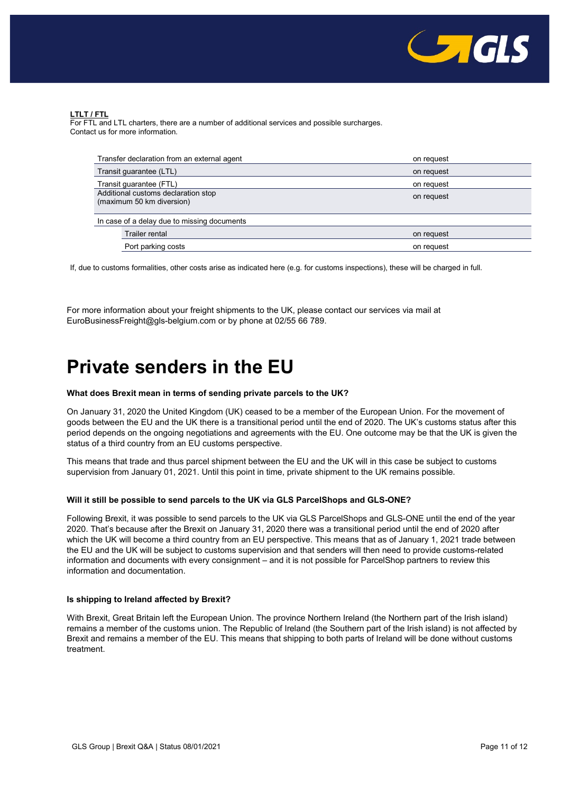

# **LTLT / FTL**

For FTL and LTL charters, there are a number of additional services and possible surcharges. Contact us for more information.

| Transfer declaration from an external agent                      | on request |  |  |  |
|------------------------------------------------------------------|------------|--|--|--|
| Transit guarantee (LTL)                                          | on request |  |  |  |
| Transit guarantee (FTL)                                          | on request |  |  |  |
| Additional customs declaration stop<br>(maximum 50 km diversion) | on request |  |  |  |
| In case of a delay due to missing documents                      |            |  |  |  |
| Trailer rental                                                   | on request |  |  |  |
| Port parking costs                                               | on request |  |  |  |

If, due to customs formalities, other costs arise as indicated here (e.g. for customs inspections), these will be charged in full.

For more information about your freight shipments to the UK, please contact our services via mail at [EuroBusinessFreight@gls-belgium.com](mailto:EuroBusinessFreight@gls-belgium.com) or by phone at 02/55 66 789.

# <span id="page-10-0"></span>**Private senders in the EU**

## **What does Brexit mean in terms of sending private parcels to the UK?**

On January 31, 2020 the United Kingdom (UK) ceased to be a member of the European Union. For the movement of goods between the EU and the UK there is a transitional period until the end of 2020. The UK's customs status after this period depends on the ongoing negotiations and agreements with the EU. One outcome may be that the UK is given the status of a third country from an EU customs perspective.

This means that trade and thus parcel shipment between the EU and the UK will in this case be subject to customs supervision from January 01, 2021. Until this point in time, private shipment to the UK remains possible.

## **Will it still be possible to send parcels to the UK via GLS ParcelShops and GLS-ONE?**

Following Brexit, it was possible to send parcels to the UK via GLS ParcelShops and GLS-ONE until the end of the year 2020. That's because after the Brexit on January 31, 2020 there was a transitional period until the end of 2020 after which the UK will become a third country from an EU perspective. This means that as of January 1, 2021 trade between the EU and the UK will be subject to customs supervision and that senders will then need to provide customs-related information and documents with every consignment – and it is not possible for ParcelShop partners to review this information and documentation.

# **Is shipping to Ireland affected by Brexit?**

With Brexit, Great Britain left the European Union. The province Northern Ireland (the Northern part of the Irish island) remains a member of the customs union. The Republic of Ireland (the Southern part of the Irish island) is not affected by Brexit and remains a member of the EU. This means that shipping to both parts of Ireland will be done without customs treatment.